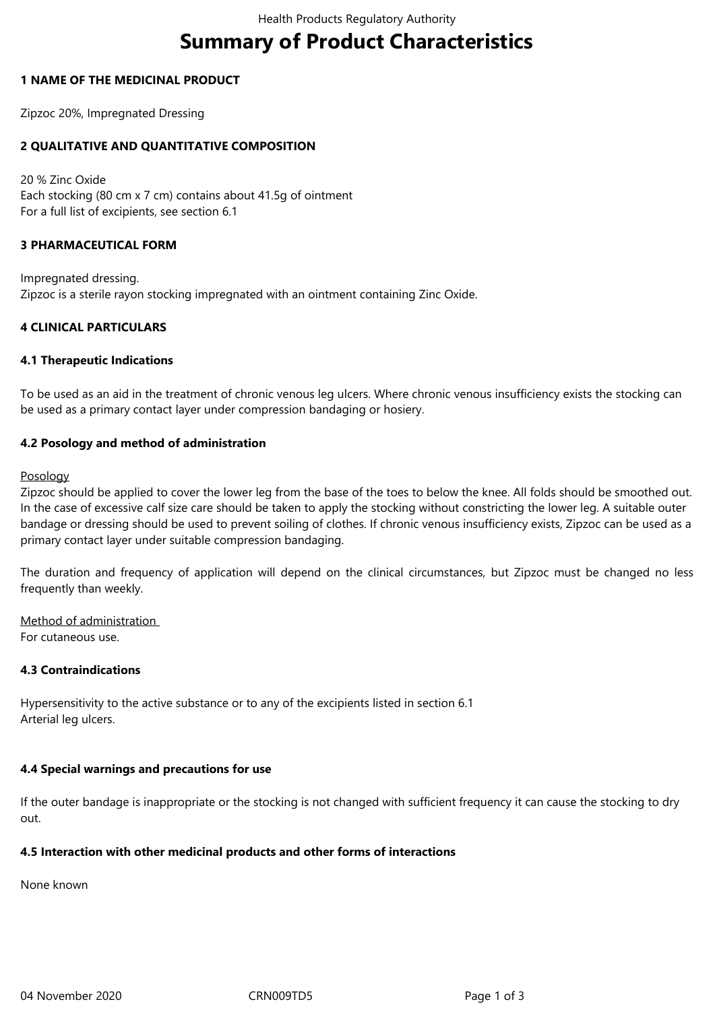# **Summary of Product Characteristics**

## **1 NAME OF THE MEDICINAL PRODUCT**

Zipzoc 20%, Impregnated Dressing

## **2 QUALITATIVE AND QUANTITATIVE COMPOSITION**

20 % Zinc Oxide Each stocking (80 cm x 7 cm) contains about 41.5g of ointment For a full list of excipients, see section 6.1

## **3 PHARMACEUTICAL FORM**

Impregnated dressing. Zipzoc is a sterile rayon stocking impregnated with an ointment containing Zinc Oxide.

## **4 CLINICAL PARTICULARS**

#### **4.1 Therapeutic Indications**

To be used as an aid in the treatment of chronic venous leg ulcers. Where chronic venous insufficiency exists the stocking can be used as a primary contact layer under compression bandaging or hosiery.

## **4.2 Posology and method of administration**

#### **Posology**

Zipzoc should be applied to cover the lower leg from the base of the toes to below the knee. All folds should be smoothed out. In the case of excessive calf size care should be taken to apply the stocking without constricting the lower leg. A suitable outer bandage or dressing should be used to prevent soiling of clothes. If chronic venous insufficiency exists, Zipzoc can be used as a primary contact layer under suitable compression bandaging.

The duration and frequency of application will depend on the clinical circumstances, but Zipzoc must be changed no less frequently than weekly.

Method of administration For cutaneous use.

#### **4.3 Contraindications**

Hypersensitivity to the active substance or to any of the excipients listed in section 6.1 Arterial leg ulcers.

#### **4.4 Special warnings and precautions for use**

If the outer bandage is inappropriate or the stocking is not changed with sufficient frequency it can cause the stocking to dry out.

#### **4.5 Interaction with other medicinal products and other forms of interactions**

None known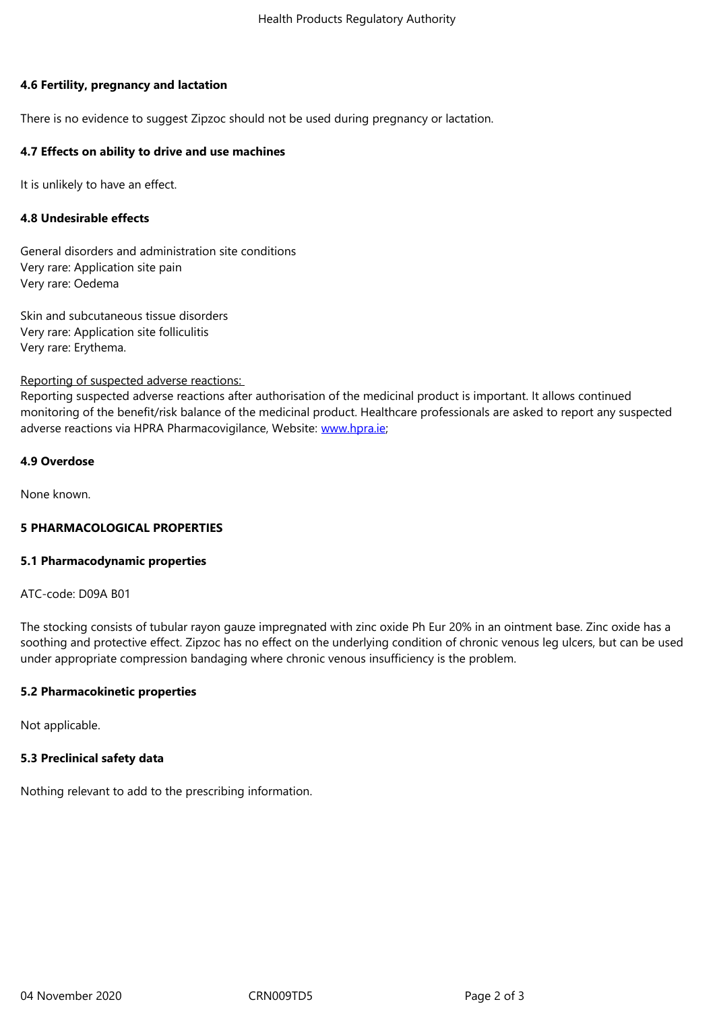## **4.6 Fertility, pregnancy and lactation**

There is no evidence to suggest Zipzoc should not be used during pregnancy or lactation.

## **4.7 Effects on ability to drive and use machines**

It is unlikely to have an effect.

## **4.8 Undesirable effects**

General disorders and administration site conditions Very rare: Application site pain Very rare: Oedema

Skin and subcutaneous tissue disorders Very rare: Application site folliculitis Very rare: Erythema.

Reporting of suspected adverse reactions:

Reporting suspected adverse reactions after authorisation of the medicinal product is important. It allows continued monitoring of the benefit/risk balance of the medicinal product. Healthcare professionals are asked to report any suspected adverse reactions via HPRA Pharmacovigilance, Website: www.hpra.ie;

#### **4.9 Overdose**

None known.

## **5 PHARMACOLOGICAL PROPERTIES**

#### **5.1 Pharmacodynamic properties**

ATC-code: D09A B01

The stocking consists of tubular rayon gauze impregnated with zinc oxide Ph Eur 20% in an ointment base. Zinc oxide has a soothing and protective effect. Zipzoc has no effect on the underlying condition of chronic venous leg ulcers, but can be used under appropriate compression bandaging where chronic venous insufficiency is the problem.

#### **5.2 Pharmacokinetic properties**

Not applicable.

#### **5.3 Preclinical safety data**

Nothing relevant to add to the prescribing information.